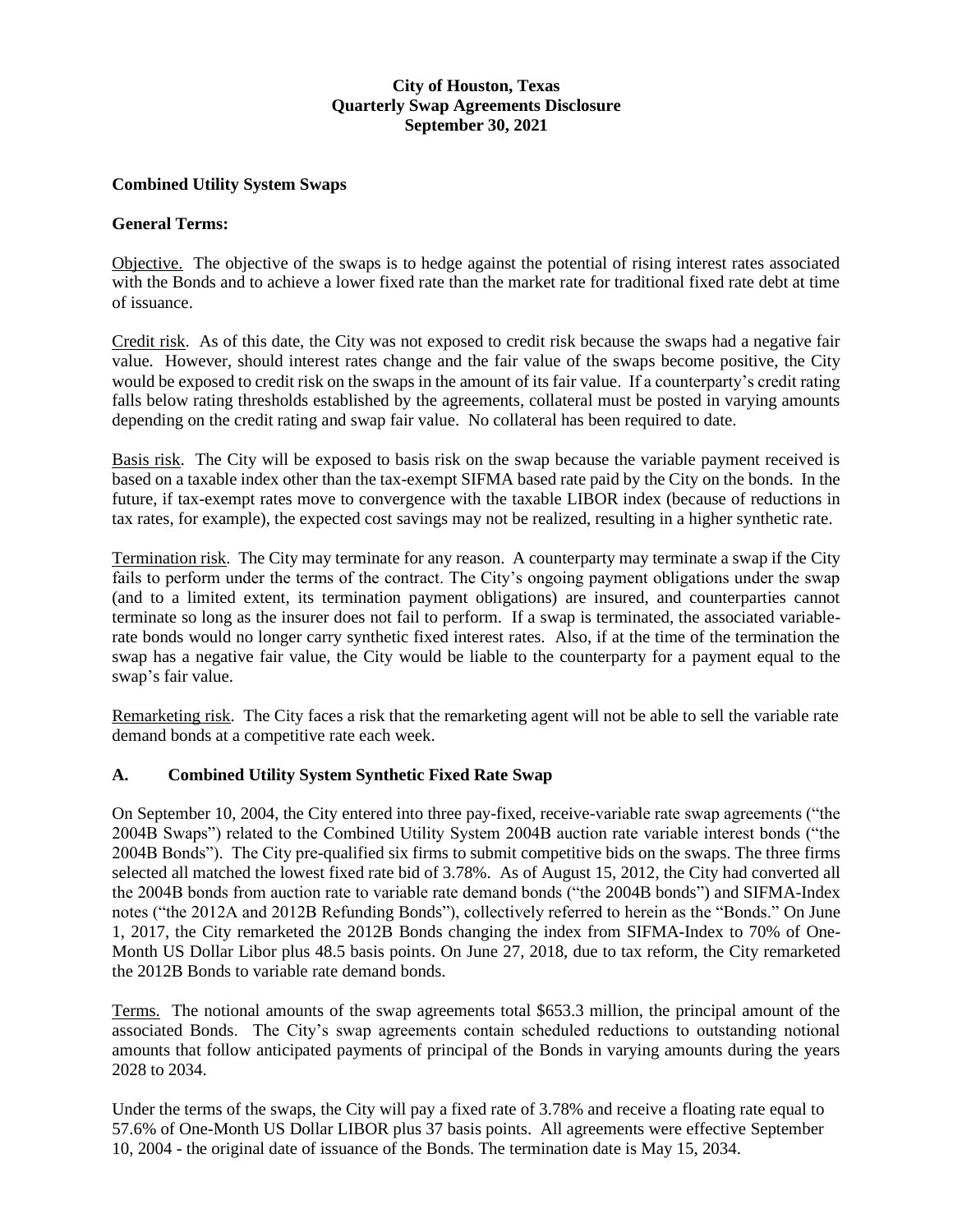# **City of Houston, Texas Quarterly Swap Agreements Disclosure September 30, 2021**

### **Combined Utility System Swaps**

#### **General Terms:**

Objective. The objective of the swaps is to hedge against the potential of rising interest rates associated with the Bonds and to achieve a lower fixed rate than the market rate for traditional fixed rate debt at time of issuance.

Credit risk. As of this date, the City was not exposed to credit risk because the swaps had a negative fair value. However, should interest rates change and the fair value of the swaps become positive, the City would be exposed to credit risk on the swaps in the amount of its fair value. If a counterparty's credit rating falls below rating thresholds established by the agreements, collateral must be posted in varying amounts depending on the credit rating and swap fair value. No collateral has been required to date.

Basis risk. The City will be exposed to basis risk on the swap because the variable payment received is based on a taxable index other than the tax-exempt SIFMA based rate paid by the City on the bonds. In the future, if tax-exempt rates move to convergence with the taxable LIBOR index (because of reductions in tax rates, for example), the expected cost savings may not be realized, resulting in a higher synthetic rate.

Termination risk. The City may terminate for any reason. A counterparty may terminate a swap if the City fails to perform under the terms of the contract. The City's ongoing payment obligations under the swap (and to a limited extent, its termination payment obligations) are insured, and counterparties cannot terminate so long as the insurer does not fail to perform. If a swap is terminated, the associated variablerate bonds would no longer carry synthetic fixed interest rates. Also, if at the time of the termination the swap has a negative fair value, the City would be liable to the counterparty for a payment equal to the swap's fair value.

Remarketing risk. The City faces a risk that the remarketing agent will not be able to sell the variable rate demand bonds at a competitive rate each week.

#### **A. Combined Utility System Synthetic Fixed Rate Swap**

On September 10, 2004, the City entered into three pay-fixed, receive-variable rate swap agreements ("the 2004B Swaps") related to the Combined Utility System 2004B auction rate variable interest bonds ("the 2004B Bonds"). The City pre-qualified six firms to submit competitive bids on the swaps. The three firms selected all matched the lowest fixed rate bid of 3.78%. As of August 15, 2012, the City had converted all the 2004B bonds from auction rate to variable rate demand bonds ("the 2004B bonds") and SIFMA-Index notes ("the 2012A and 2012B Refunding Bonds"), collectively referred to herein as the "Bonds." On June 1, 2017, the City remarketed the 2012B Bonds changing the index from SIFMA-Index to 70% of One-Month US Dollar Libor plus 48.5 basis points. On June 27, 2018, due to tax reform, the City remarketed the 2012B Bonds to variable rate demand bonds.

Terms. The notional amounts of the swap agreements total \$653.3 million, the principal amount of the associated Bonds. The City's swap agreements contain scheduled reductions to outstanding notional amounts that follow anticipated payments of principal of the Bonds in varying amounts during the years 2028 to 2034.

Under the terms of the swaps, the City will pay a fixed rate of 3.78% and receive a floating rate equal to 57.6% of One-Month US Dollar LIBOR plus 37 basis points. All agreements were effective September 10, 2004 - the original date of issuance of the Bonds. The termination date is May 15, 2034.